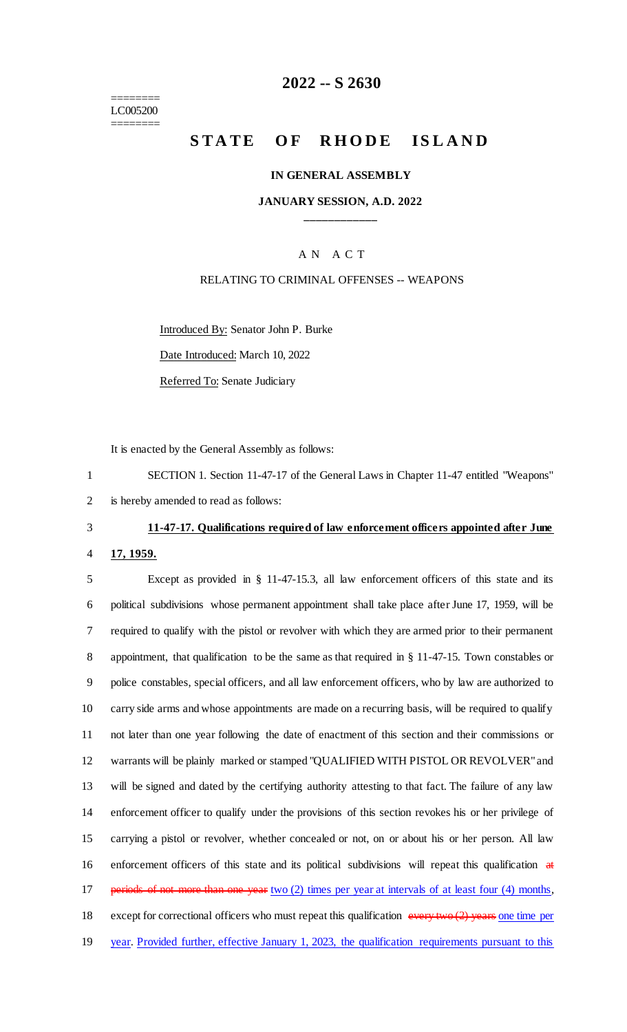======== LC005200 ========

#### **2022 -- S 2630**

## **STATE OF RHODE ISLAND**

#### **IN GENERAL ASSEMBLY**

#### **JANUARY SESSION, A.D. 2022 \_\_\_\_\_\_\_\_\_\_\_\_**

#### A N A C T

#### RELATING TO CRIMINAL OFFENSES -- WEAPONS

Introduced By: Senator John P. Burke

Date Introduced: March 10, 2022

Referred To: Senate Judiciary

It is enacted by the General Assembly as follows:

1 SECTION 1. Section 11-47-17 of the General Laws in Chapter 11-47 entitled "Weapons" 2 is hereby amended to read as follows:

# 3 **11-47-17. Qualifications required of law enforcement officers appointed after June**

4 **17, 1959.**

 Except as provided in § 11-47-15.3, all law enforcement officers of this state and its political subdivisions whose permanent appointment shall take place after June 17, 1959, will be required to qualify with the pistol or revolver with which they are armed prior to their permanent appointment, that qualification to be the same as that required in § 11-47-15. Town constables or police constables, special officers, and all law enforcement officers, who by law are authorized to carry side arms and whose appointments are made on a recurring basis, will be required to qualify not later than one year following the date of enactment of this section and their commissions or warrants will be plainly marked or stamped "QUALIFIED WITH PISTOL OR REVOLVER" and will be signed and dated by the certifying authority attesting to that fact. The failure of any law enforcement officer to qualify under the provisions of this section revokes his or her privilege of carrying a pistol or revolver, whether concealed or not, on or about his or her person. All law enforcement officers of this state and its political subdivisions will repeat this qualification at 17 periods of not more than one year two (2) times per year at intervals of at least four (4) months, 18 except for correctional officers who must repeat this qualification every two (2) years one time per year. Provided further, effective January 1, 2023, the qualification requirements pursuant to this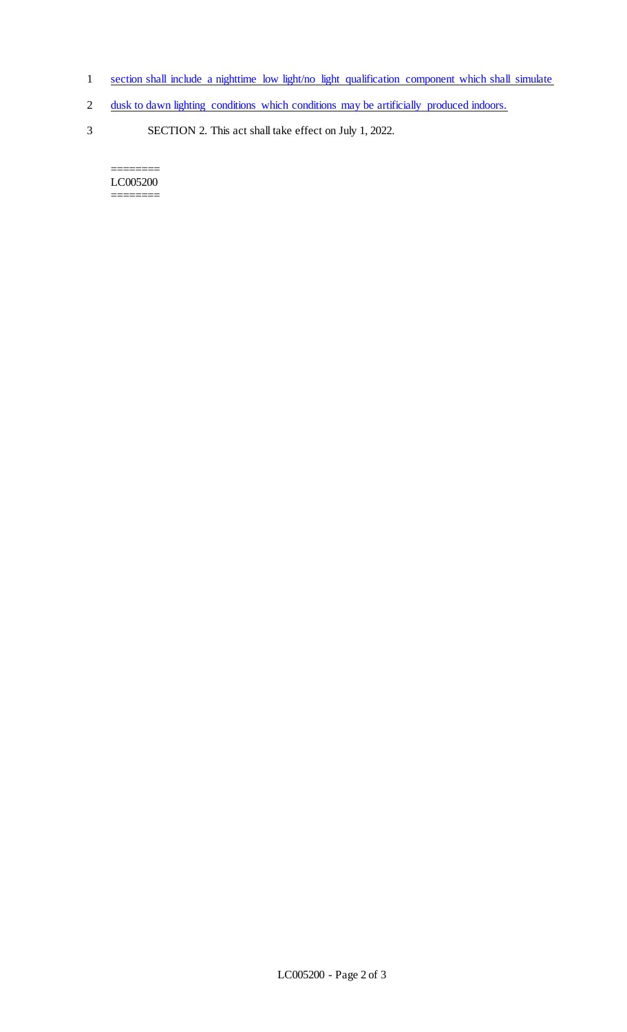- 1 section shall include a nighttime low light/no light qualification component which shall simulate
- 2 dusk to dawn lighting conditions which conditions may be artificially produced indoors.
- 3 SECTION 2. This act shall take effect on July 1, 2022.

======== LC005200 ========